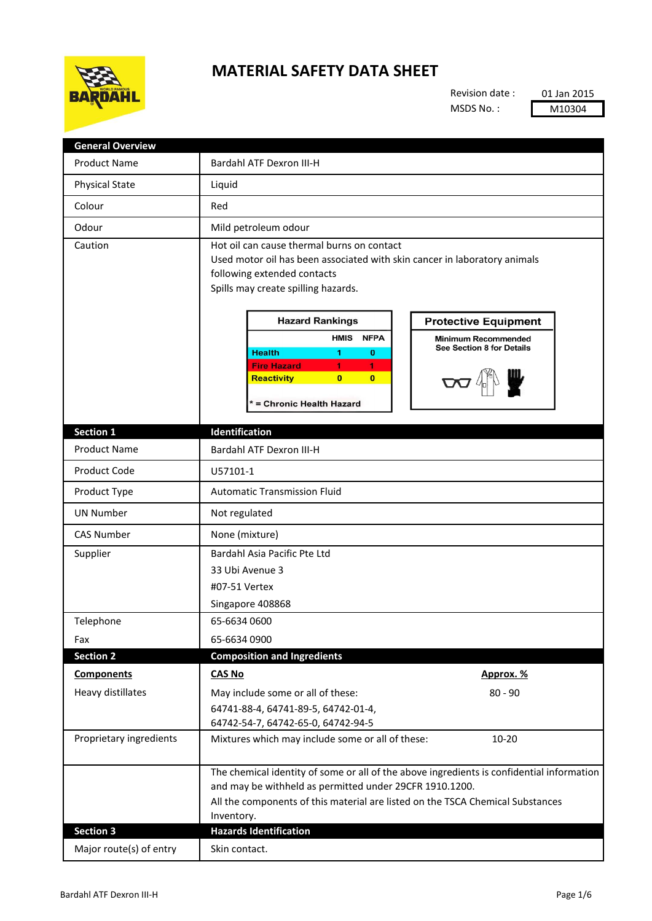

## **MATERIAL SAFETY DATA SHEET**

Revision date : MSDS No. :

01 Jan 2015 M10304

| <b>General Overview</b> |                                                                                                                                                                                                                                                                                                                                                                                                                                                                                                 |
|-------------------------|-------------------------------------------------------------------------------------------------------------------------------------------------------------------------------------------------------------------------------------------------------------------------------------------------------------------------------------------------------------------------------------------------------------------------------------------------------------------------------------------------|
| <b>Product Name</b>     | <b>Bardahl ATF Dexron III-H</b>                                                                                                                                                                                                                                                                                                                                                                                                                                                                 |
| <b>Physical State</b>   | Liquid                                                                                                                                                                                                                                                                                                                                                                                                                                                                                          |
| Colour                  | Red                                                                                                                                                                                                                                                                                                                                                                                                                                                                                             |
| Odour                   | Mild petroleum odour                                                                                                                                                                                                                                                                                                                                                                                                                                                                            |
| Caution                 | Hot oil can cause thermal burns on contact<br>Used motor oil has been associated with skin cancer in laboratory animals<br>following extended contacts<br>Spills may create spilling hazards.<br><b>Hazard Rankings</b><br><b>Protective Equipment</b><br><b>HMIS</b><br><b>NFPA</b><br><b>Minimum Recommended</b><br>See Section 8 for Details<br><b>Health</b><br>$\bf{0}$<br>1<br><b>Fire Hazard</b><br>1<br>1<br><b>Reactivity</b><br>$\mathbf{0}$<br>$\bf{0}$<br>* = Chronic Health Hazard |
| Section 1               | Identification                                                                                                                                                                                                                                                                                                                                                                                                                                                                                  |
| <b>Product Name</b>     | <b>Bardahl ATF Dexron III-H</b>                                                                                                                                                                                                                                                                                                                                                                                                                                                                 |
| Product Code            | U57101-1                                                                                                                                                                                                                                                                                                                                                                                                                                                                                        |
| Product Type            | <b>Automatic Transmission Fluid</b>                                                                                                                                                                                                                                                                                                                                                                                                                                                             |
| <b>UN Number</b>        | Not regulated                                                                                                                                                                                                                                                                                                                                                                                                                                                                                   |
| <b>CAS Number</b>       | None (mixture)                                                                                                                                                                                                                                                                                                                                                                                                                                                                                  |
| Supplier                | Bardahl Asia Pacific Pte Ltd<br>33 Ubi Avenue 3<br>#07-51 Vertex<br>Singapore 408868                                                                                                                                                                                                                                                                                                                                                                                                            |
| Telephone               | 65-6634 0600                                                                                                                                                                                                                                                                                                                                                                                                                                                                                    |
| Fax                     | 65-6634 0900                                                                                                                                                                                                                                                                                                                                                                                                                                                                                    |
| <b>Section 2</b>        | <b>Composition and Ingredients</b>                                                                                                                                                                                                                                                                                                                                                                                                                                                              |
| <b>Components</b>       | <b>CAS No</b><br>Approx. %                                                                                                                                                                                                                                                                                                                                                                                                                                                                      |
| Heavy distillates       | $80 - 90$<br>May include some or all of these:<br>64741-88-4, 64741-89-5, 64742-01-4,<br>64742-54-7, 64742-65-0, 64742-94-5                                                                                                                                                                                                                                                                                                                                                                     |
| Proprietary ingredients | Mixtures which may include some or all of these:<br>$10 - 20$                                                                                                                                                                                                                                                                                                                                                                                                                                   |
|                         | The chemical identity of some or all of the above ingredients is confidential information<br>and may be withheld as permitted under 29CFR 1910.1200.<br>All the components of this material are listed on the TSCA Chemical Substances<br>Inventory.                                                                                                                                                                                                                                            |
| <b>Section 3</b>        | <b>Hazards Identification</b>                                                                                                                                                                                                                                                                                                                                                                                                                                                                   |
| Major route(s) of entry | Skin contact.                                                                                                                                                                                                                                                                                                                                                                                                                                                                                   |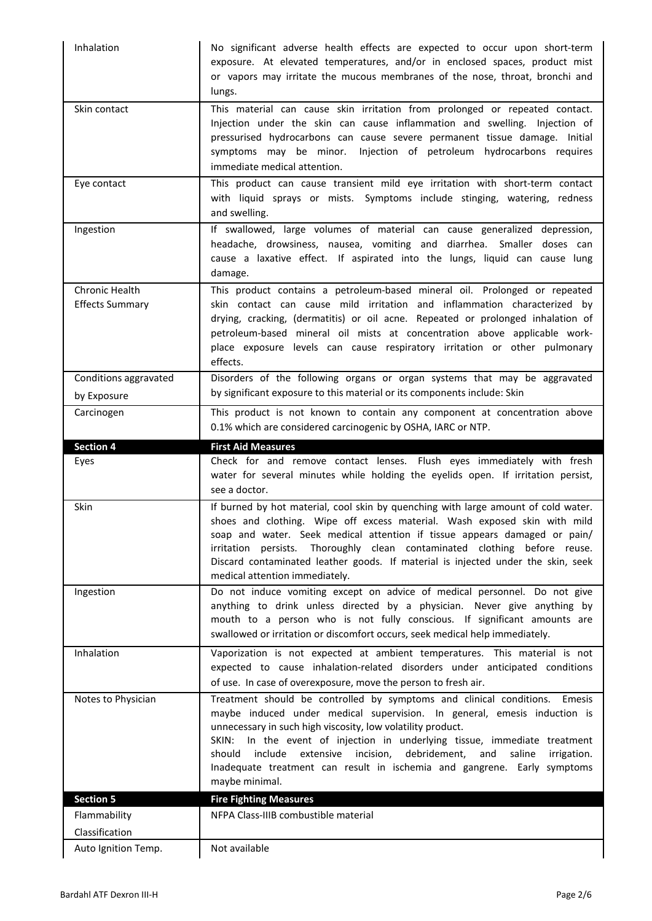| Inhalation                               | No significant adverse health effects are expected to occur upon short-term<br>exposure. At elevated temperatures, and/or in enclosed spaces, product mist<br>or vapors may irritate the mucous membranes of the nose, throat, bronchi and<br>lungs.                                                                                                                                                                                                                                            |
|------------------------------------------|-------------------------------------------------------------------------------------------------------------------------------------------------------------------------------------------------------------------------------------------------------------------------------------------------------------------------------------------------------------------------------------------------------------------------------------------------------------------------------------------------|
| Skin contact                             | This material can cause skin irritation from prolonged or repeated contact.<br>Injection under the skin can cause inflammation and swelling. Injection of<br>pressurised hydrocarbons can cause severe permanent tissue damage. Initial<br>symptoms may be minor. Injection of petroleum hydrocarbons requires<br>immediate medical attention.                                                                                                                                                  |
| Eye contact                              | This product can cause transient mild eye irritation with short-term contact<br>with liquid sprays or mists. Symptoms include stinging, watering, redness<br>and swelling.                                                                                                                                                                                                                                                                                                                      |
| Ingestion                                | If swallowed, large volumes of material can cause generalized depression,<br>headache, drowsiness, nausea, vomiting and diarrhea. Smaller doses can<br>cause a laxative effect. If aspirated into the lungs, liquid can cause lung<br>damage.                                                                                                                                                                                                                                                   |
| Chronic Health<br><b>Effects Summary</b> | This product contains a petroleum-based mineral oil. Prolonged or repeated<br>skin contact can cause mild irritation and inflammation characterized by<br>drying, cracking, (dermatitis) or oil acne. Repeated or prolonged inhalation of<br>petroleum-based mineral oil mists at concentration above applicable work-<br>place exposure levels can cause respiratory irritation or other pulmonary<br>effects.                                                                                 |
| Conditions aggravated                    | Disorders of the following organs or organ systems that may be aggravated                                                                                                                                                                                                                                                                                                                                                                                                                       |
| by Exposure                              | by significant exposure to this material or its components include: Skin                                                                                                                                                                                                                                                                                                                                                                                                                        |
| Carcinogen                               | This product is not known to contain any component at concentration above<br>0.1% which are considered carcinogenic by OSHA, IARC or NTP.                                                                                                                                                                                                                                                                                                                                                       |
| <b>Section 4</b>                         | <b>First Aid Measures</b>                                                                                                                                                                                                                                                                                                                                                                                                                                                                       |
|                                          |                                                                                                                                                                                                                                                                                                                                                                                                                                                                                                 |
| Eyes                                     | Check for and remove contact lenses. Flush eyes immediately with fresh<br>water for several minutes while holding the eyelids open. If irritation persist,<br>see a doctor.                                                                                                                                                                                                                                                                                                                     |
| Skin                                     | If burned by hot material, cool skin by quenching with large amount of cold water.<br>shoes and clothing. Wipe off excess material. Wash exposed skin with mild<br>soap and water. Seek medical attention if tissue appears damaged or pain/<br>irritation persists. Thoroughly clean contaminated clothing before reuse.<br>Discard contaminated leather goods. If material is injected under the skin, seek<br>medical attention immediately.                                                 |
| Ingestion                                | Do not induce vomiting except on advice of medical personnel. Do not give<br>anything to drink unless directed by a physician. Never give anything by<br>mouth to a person who is not fully conscious. If significant amounts are<br>swallowed or irritation or discomfort occurs, seek medical help immediately.                                                                                                                                                                               |
| Inhalation                               | Vaporization is not expected at ambient temperatures. This material is not<br>expected to cause inhalation-related disorders under anticipated conditions<br>of use. In case of overexposure, move the person to fresh air.                                                                                                                                                                                                                                                                     |
| Notes to Physician                       | Treatment should be controlled by symptoms and clinical conditions.<br>Emesis<br>maybe induced under medical supervision. In general, emesis induction is<br>unnecessary in such high viscosity, low volatility product.<br>SKIN: In the event of injection in underlying tissue, immediate treatment<br>extensive incision,<br>debridement,<br>should<br>include<br>and<br>saline<br>irrigation.<br>Inadequate treatment can result in ischemia and gangrene. Early symptoms<br>maybe minimal. |
| <b>Section 5</b>                         | <b>Fire Fighting Measures</b>                                                                                                                                                                                                                                                                                                                                                                                                                                                                   |
| Flammability                             | NFPA Class-IIIB combustible material                                                                                                                                                                                                                                                                                                                                                                                                                                                            |
| Classification<br>Auto Ignition Temp.    | Not available                                                                                                                                                                                                                                                                                                                                                                                                                                                                                   |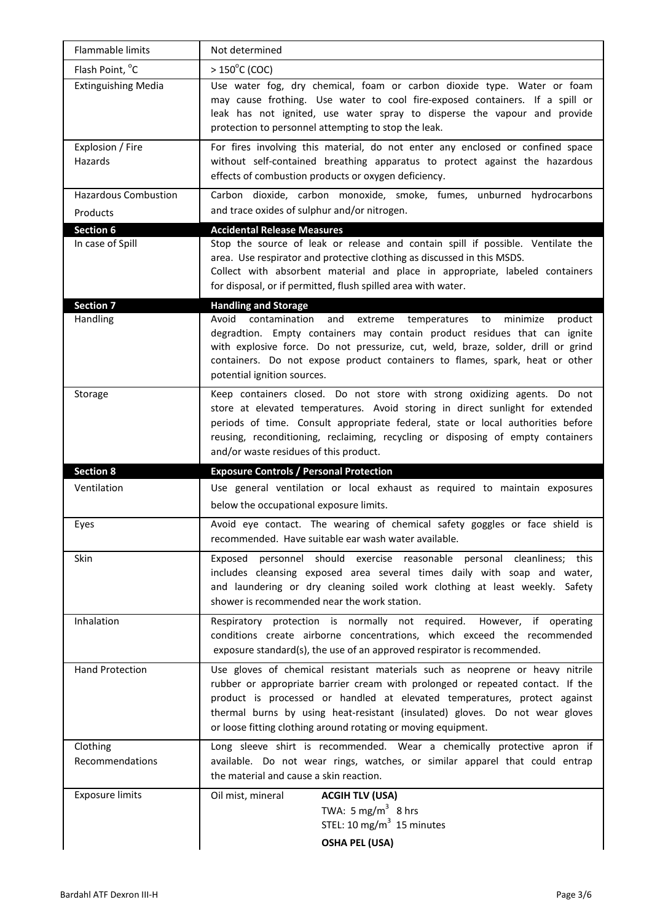| Flammable limits                        | Not determined                                                                                                                                                                                                                                                                                                                                                             |
|-----------------------------------------|----------------------------------------------------------------------------------------------------------------------------------------------------------------------------------------------------------------------------------------------------------------------------------------------------------------------------------------------------------------------------|
| Flash Point, °C                         | $>150^{\circ}$ C (COC)                                                                                                                                                                                                                                                                                                                                                     |
| <b>Extinguishing Media</b>              | Use water fog, dry chemical, foam or carbon dioxide type. Water or foam<br>may cause frothing. Use water to cool fire-exposed containers. If a spill or<br>leak has not ignited, use water spray to disperse the vapour and provide<br>protection to personnel attempting to stop the leak.                                                                                |
| Explosion / Fire<br>Hazards             | For fires involving this material, do not enter any enclosed or confined space<br>without self-contained breathing apparatus to protect against the hazardous<br>effects of combustion products or oxygen deficiency.                                                                                                                                                      |
| <b>Hazardous Combustion</b><br>Products | Carbon dioxide, carbon monoxide, smoke, fumes, unburned hydrocarbons<br>and trace oxides of sulphur and/or nitrogen.                                                                                                                                                                                                                                                       |
| <b>Section 6</b>                        | <b>Accidental Release Measures</b>                                                                                                                                                                                                                                                                                                                                         |
| In case of Spill                        | Stop the source of leak or release and contain spill if possible. Ventilate the<br>area. Use respirator and protective clothing as discussed in this MSDS.<br>Collect with absorbent material and place in appropriate, labeled containers<br>for disposal, or if permitted, flush spilled area with water.                                                                |
| <b>Section 7</b>                        | <b>Handling and Storage</b>                                                                                                                                                                                                                                                                                                                                                |
| Handling                                | Avoid<br>contamination<br>and<br>extreme<br>temperatures to<br>minimize<br>product<br>degradtion. Empty containers may contain product residues that can ignite<br>with explosive force. Do not pressurize, cut, weld, braze, solder, drill or grind<br>containers. Do not expose product containers to flames, spark, heat or other<br>potential ignition sources.        |
| Storage                                 | Keep containers closed. Do not store with strong oxidizing agents. Do not<br>store at elevated temperatures. Avoid storing in direct sunlight for extended<br>periods of time. Consult appropriate federal, state or local authorities before<br>reusing, reconditioning, reclaiming, recycling or disposing of empty containers<br>and/or waste residues of this product. |
| <b>Section 8</b>                        | <b>Exposure Controls / Personal Protection</b>                                                                                                                                                                                                                                                                                                                             |
| Ventilation                             | Use general ventilation or local exhaust as required to maintain exposures<br>below the occupational exposure limits.                                                                                                                                                                                                                                                      |
| Eyes                                    | Avoid eye contact. The wearing of chemical safety goggles or face shield is<br>recommended. Have suitable ear wash water available.                                                                                                                                                                                                                                        |
| Skin                                    | Exposed personnel should exercise reasonable personal cleanliness; this<br>includes cleansing exposed area several times daily with soap and water,<br>and laundering or dry cleaning soiled work clothing at least weekly. Safety<br>shower is recommended near the work station.                                                                                         |
| Inhalation                              | Respiratory protection is normally not required. However, if operating<br>conditions create airborne concentrations, which exceed the recommended<br>exposure standard(s), the use of an approved respirator is recommended.                                                                                                                                               |
| <b>Hand Protection</b>                  | Use gloves of chemical resistant materials such as neoprene or heavy nitrile<br>rubber or appropriate barrier cream with prolonged or repeated contact. If the                                                                                                                                                                                                             |
|                                         | product is processed or handled at elevated temperatures, protect against<br>thermal burns by using heat-resistant (insulated) gloves. Do not wear gloves<br>or loose fitting clothing around rotating or moving equipment.                                                                                                                                                |
| Clothing<br>Recommendations             | Long sleeve shirt is recommended. Wear a chemically protective apron if<br>available. Do not wear rings, watches, or similar apparel that could entrap<br>the material and cause a skin reaction.                                                                                                                                                                          |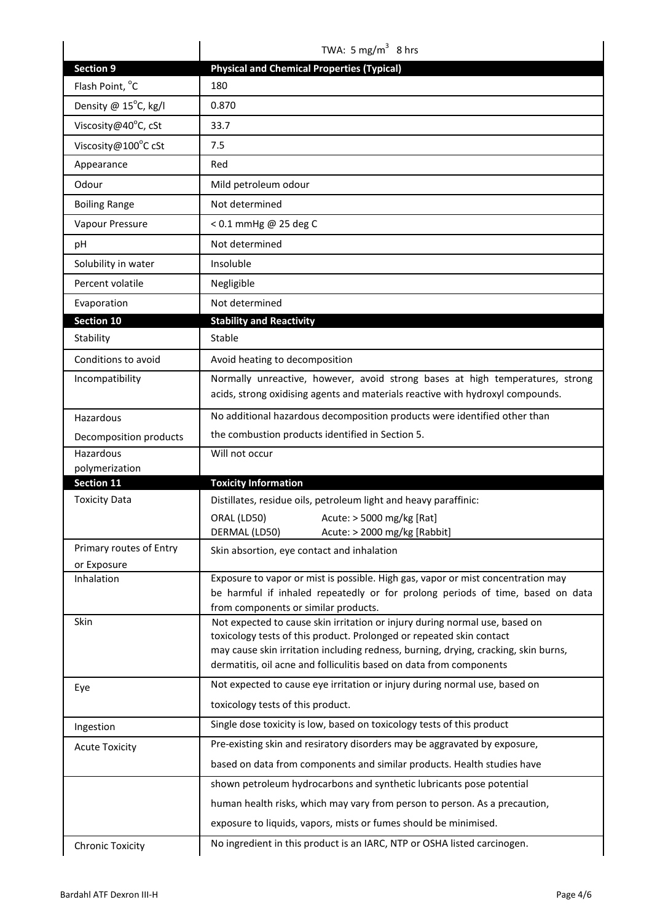|                              | TWA: 5 mg/m <sup>3</sup> 8 hrs                                                                                                                             |
|------------------------------|------------------------------------------------------------------------------------------------------------------------------------------------------------|
| <b>Section 9</b>             | <b>Physical and Chemical Properties (Typical)</b>                                                                                                          |
| Flash Point, °C              | 180                                                                                                                                                        |
| Density @ 15°C, kg/l         | 0.870                                                                                                                                                      |
| Viscosity@40°C, cSt          | 33.7                                                                                                                                                       |
| Viscosity@100°C cSt          | 7.5                                                                                                                                                        |
| Appearance                   | Red                                                                                                                                                        |
| Odour                        | Mild petroleum odour                                                                                                                                       |
| <b>Boiling Range</b>         | Not determined                                                                                                                                             |
| Vapour Pressure              | < 0.1 mmHg @ 25 deg C                                                                                                                                      |
| рH                           | Not determined                                                                                                                                             |
| Solubility in water          | Insoluble                                                                                                                                                  |
| Percent volatile             | Negligible                                                                                                                                                 |
| Evaporation                  | Not determined                                                                                                                                             |
| Section 10                   | <b>Stability and Reactivity</b>                                                                                                                            |
| Stability                    | Stable                                                                                                                                                     |
| Conditions to avoid          | Avoid heating to decomposition                                                                                                                             |
| Incompatibility              | Normally unreactive, however, avoid strong bases at high temperatures, strong                                                                              |
|                              | acids, strong oxidising agents and materials reactive with hydroxyl compounds.                                                                             |
| Hazardous                    | No additional hazardous decomposition products were identified other than                                                                                  |
| Decomposition products       | the combustion products identified in Section 5.                                                                                                           |
| Hazardous                    | Will not occur                                                                                                                                             |
| polymerization<br>Section 11 | <b>Toxicity Information</b>                                                                                                                                |
| <b>Toxicity Data</b>         | Distillates, residue oils, petroleum light and heavy paraffinic:                                                                                           |
|                              | ORAL (LD50)<br>Acute: > 5000 mg/kg [Rat]                                                                                                                   |
|                              | DERMAL (LD50)<br>Acute: > 2000 mg/kg [Rabbit]                                                                                                              |
| Primary routes of Entry      | Skin absortion, eye contact and inhalation                                                                                                                 |
| or Exposure                  | Exposure to vapor or mist is possible. High gas, vapor or mist concentration may                                                                           |
| Inhalation                   | be harmful if inhaled repeatedly or for prolong periods of time, based on data<br>from components or similar products.                                     |
| Skin                         | Not expected to cause skin irritation or injury during normal use, based on                                                                                |
|                              | toxicology tests of this product. Prolonged or repeated skin contact                                                                                       |
|                              | may cause skin irritation including redness, burning, drying, cracking, skin burns,<br>dermatitis, oil acne and folliculitis based on data from components |
| Eye                          | Not expected to cause eye irritation or injury during normal use, based on                                                                                 |
|                              | toxicology tests of this product.                                                                                                                          |
| Ingestion                    | Single dose toxicity is low, based on toxicology tests of this product                                                                                     |
| <b>Acute Toxicity</b>        | Pre-existing skin and resiratory disorders may be aggravated by exposure,                                                                                  |
|                              | based on data from components and similar products. Health studies have                                                                                    |
|                              | shown petroleum hydrocarbons and synthetic lubricants pose potential                                                                                       |
|                              | human health risks, which may vary from person to person. As a precaution,                                                                                 |
|                              | exposure to liquids, vapors, mists or fumes should be minimised.                                                                                           |
|                              | No ingredient in this product is an IARC, NTP or OSHA listed carcinogen.                                                                                   |
| <b>Chronic Toxicity</b>      |                                                                                                                                                            |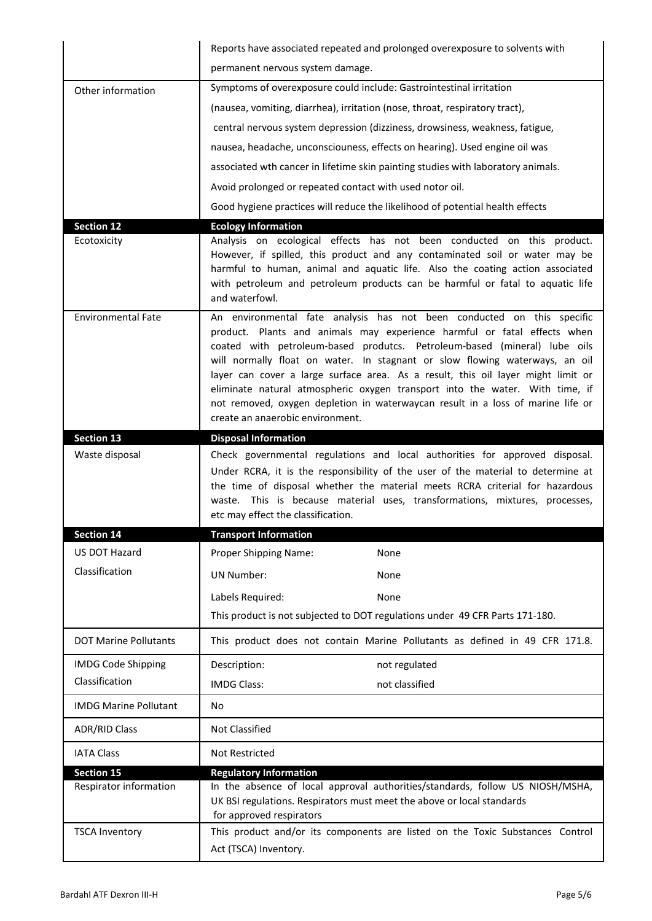|                              | Reports have associated repeated and prolonged overexposure to solvents with                                                                                                                                                                                                                                                                                                                                                                                                                                                                                                                              |
|------------------------------|-----------------------------------------------------------------------------------------------------------------------------------------------------------------------------------------------------------------------------------------------------------------------------------------------------------------------------------------------------------------------------------------------------------------------------------------------------------------------------------------------------------------------------------------------------------------------------------------------------------|
|                              | permanent nervous system damage.                                                                                                                                                                                                                                                                                                                                                                                                                                                                                                                                                                          |
| Other information            | Symptoms of overexposure could include: Gastrointestinal irritation                                                                                                                                                                                                                                                                                                                                                                                                                                                                                                                                       |
|                              | (nausea, vomiting, diarrhea), irritation (nose, throat, respiratory tract),                                                                                                                                                                                                                                                                                                                                                                                                                                                                                                                               |
|                              | central nervous system depression (dizziness, drowsiness, weakness, fatigue,                                                                                                                                                                                                                                                                                                                                                                                                                                                                                                                              |
|                              | nausea, headache, unconsciouness, effects on hearing). Used engine oil was                                                                                                                                                                                                                                                                                                                                                                                                                                                                                                                                |
|                              | associated wth cancer in lifetime skin painting studies with laboratory animals.                                                                                                                                                                                                                                                                                                                                                                                                                                                                                                                          |
|                              | Avoid prolonged or repeated contact with used notor oil.                                                                                                                                                                                                                                                                                                                                                                                                                                                                                                                                                  |
|                              | Good hygiene practices will reduce the likelihood of potential health effects                                                                                                                                                                                                                                                                                                                                                                                                                                                                                                                             |
| <b>Section 12</b>            | <b>Ecology Information</b>                                                                                                                                                                                                                                                                                                                                                                                                                                                                                                                                                                                |
| Ecotoxicity                  | Analysis on ecological effects has not been conducted on this product.<br>However, if spilled, this product and any contaminated soil or water may be<br>harmful to human, animal and aquatic life. Also the coating action associated<br>with petroleum and petroleum products can be harmful or fatal to aquatic life<br>and waterfowl.                                                                                                                                                                                                                                                                 |
| <b>Environmental Fate</b>    | An environmental fate analysis has not been conducted on this specific<br>product. Plants and animals may experience harmful or fatal effects when<br>coated with petroleum-based produtcs. Petroleum-based (mineral) lube oils<br>will normally float on water. In stagnant or slow flowing waterways, an oil<br>layer can cover a large surface area. As a result, this oil layer might limit or<br>eliminate natural atmospheric oxygen transport into the water. With time, if<br>not removed, oxygen depletion in waterwaycan result in a loss of marine life or<br>create an anaerobic environment. |
| <b>Section 13</b>            | <b>Disposal Information</b>                                                                                                                                                                                                                                                                                                                                                                                                                                                                                                                                                                               |
| Waste disposal               | Check governmental regulations and local authorities for approved disposal.<br>Under RCRA, it is the responsibility of the user of the material to determine at                                                                                                                                                                                                                                                                                                                                                                                                                                           |
|                              | the time of disposal whether the material meets RCRA criterial for hazardous<br>waste. This is because material uses, transformations, mixtures, processes,<br>etc may effect the classification.                                                                                                                                                                                                                                                                                                                                                                                                         |
| <b>Section 14</b>            | <b>Transport Information</b>                                                                                                                                                                                                                                                                                                                                                                                                                                                                                                                                                                              |
| <b>US DOT Hazard</b>         | Proper Shipping Name:<br>None                                                                                                                                                                                                                                                                                                                                                                                                                                                                                                                                                                             |
| Classification               | <b>UN Number:</b><br>None                                                                                                                                                                                                                                                                                                                                                                                                                                                                                                                                                                                 |
|                              | Labels Required:<br>None                                                                                                                                                                                                                                                                                                                                                                                                                                                                                                                                                                                  |
|                              | This product is not subjected to DOT regulations under 49 CFR Parts 171-180.                                                                                                                                                                                                                                                                                                                                                                                                                                                                                                                              |
| <b>DOT Marine Pollutants</b> | This product does not contain Marine Pollutants as defined in 49 CFR 171.8.                                                                                                                                                                                                                                                                                                                                                                                                                                                                                                                               |
| <b>IMDG Code Shipping</b>    | Description:<br>not regulated                                                                                                                                                                                                                                                                                                                                                                                                                                                                                                                                                                             |
| Classification               | <b>IMDG Class:</b><br>not classified                                                                                                                                                                                                                                                                                                                                                                                                                                                                                                                                                                      |
| <b>IMDG Marine Pollutant</b> | <b>No</b>                                                                                                                                                                                                                                                                                                                                                                                                                                                                                                                                                                                                 |
| <b>ADR/RID Class</b>         | <b>Not Classified</b>                                                                                                                                                                                                                                                                                                                                                                                                                                                                                                                                                                                     |
| <b>IATA Class</b>            | Not Restricted                                                                                                                                                                                                                                                                                                                                                                                                                                                                                                                                                                                            |
| <b>Section 15</b>            | <b>Regulatory Information</b>                                                                                                                                                                                                                                                                                                                                                                                                                                                                                                                                                                             |
| Respirator information       | In the absence of local approval authorities/standards, follow US NIOSH/MSHA,<br>UK BSI regulations. Respirators must meet the above or local standards<br>for approved respirators                                                                                                                                                                                                                                                                                                                                                                                                                       |